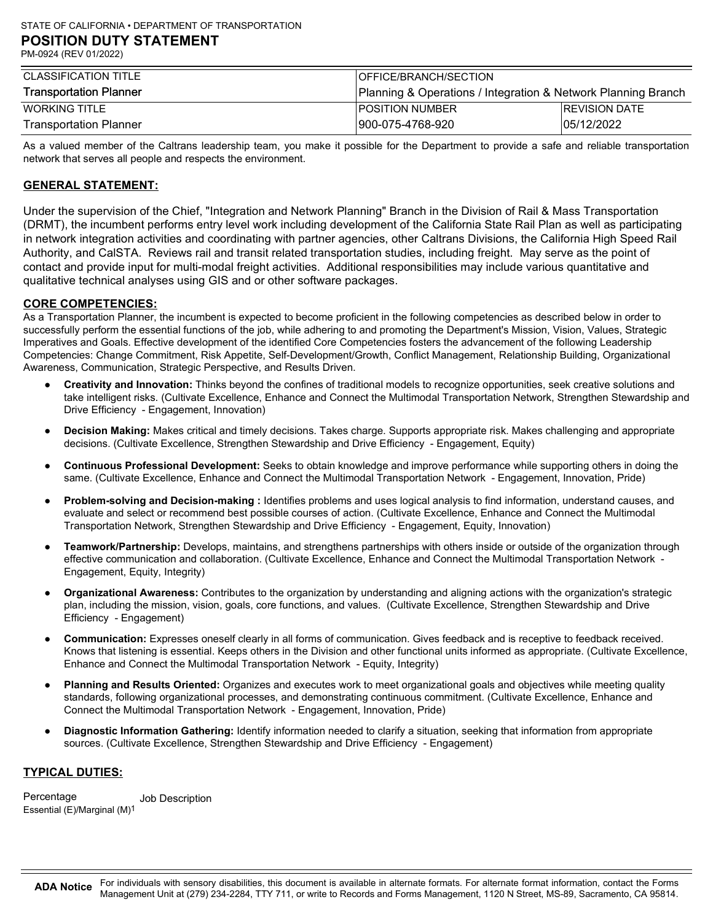| CLASSIFICATION TITLE          | <b>IOFFICE/BRANCH/SECTION</b>                                 |                      |
|-------------------------------|---------------------------------------------------------------|----------------------|
| <b>Transportation Planner</b> | Planning & Operations / Integration & Network Planning Branch |                      |
| WORKING TITLE                 | <b>IPOSITION NUMBER</b>                                       | <b>REVISION DATE</b> |
| Transportation Planner        | 900-075-4768-920                                              | 05/12/2022           |

As a valued member of the Caltrans leadership team, you make it possible for the Department to provide a safe and reliable transportation network that serves all people and respects the environment.

# GENERAL STATEMENT:

Under the supervision of the Chief, "Integration and Network Planning" Branch in the Division of Rail & Mass Transportation (DRMT), the incumbent performs entry level work including development of the California State Rail Plan as well as participating in network integration activities and coordinating with partner agencies, other Caltrans Divisions, the California High Speed Rail Authority, and CalSTA. Reviews rail and transit related transportation studies, including freight. May serve as the point of contact and provide input for multi-modal freight activities. Additional responsibilities may include various quantitative and qualitative technical analyses using GIS and or other software packages.

### CORE COMPETENCIES:

As a Transportation Planner, the incumbent is expected to become proficient in the following competencies as described below in order to successfully perform the essential functions of the job, while adhering to and promoting the Department's Mission, Vision, Values, Strategic Imperatives and Goals. Effective development of the identified Core Competencies fosters the advancement of the following Leadership Competencies: Change Commitment, Risk Appetite, Self-Development/Growth, Conflict Management, Relationship Building, Organizational Awareness, Communication, Strategic Perspective, and Results Driven.

- Creativity and Innovation: Thinks beyond the confines of traditional models to recognize opportunities, seek creative solutions and take intelligent risks. (Cultivate Excellence, Enhance and Connect the Multimodal Transportation Network, Strengthen Stewardship and Drive Efficiency - Engagement, Innovation)
- Decision Making: Makes critical and timely decisions. Takes charge. Supports appropriate risk. Makes challenging and appropriate decisions. (Cultivate Excellence, Strengthen Stewardship and Drive Efficiency - Engagement, Equity)
- Continuous Professional Development: Seeks to obtain knowledge and improve performance while supporting others in doing the same. (Cultivate Excellence, Enhance and Connect the Multimodal Transportation Network - Engagement, Innovation, Pride)
- Problem-solving and Decision-making : Identifies problems and uses logical analysis to find information, understand causes, and evaluate and select or recommend best possible courses of action. (Cultivate Excellence, Enhance and Connect the Multimodal Transportation Network, Strengthen Stewardship and Drive Efficiency - Engagement, Equity, Innovation)
- **Teamwork/Partnership:** Develops, maintains, and strengthens partnerships with others inside or outside of the organization through effective communication and collaboration. (Cultivate Excellence, Enhance and Connect the Multimodal Transportation Network - Engagement, Equity, Integrity)
- Organizational Awareness: Contributes to the organization by understanding and aligning actions with the organization's strategic plan, including the mission, vision, goals, core functions, and values. (Cultivate Excellence, Strengthen Stewardship and Drive Efficiency - Engagement)
- Communication: Expresses oneself clearly in all forms of communication. Gives feedback and is receptive to feedback received. Knows that listening is essential. Keeps others in the Division and other functional units informed as appropriate. (Cultivate Excellence, Enhance and Connect the Multimodal Transportation Network - Equity, Integrity)
- Planning and Results Oriented: Organizes and executes work to meet organizational goals and objectives while meeting quality standards, following organizational processes, and demonstrating continuous commitment. (Cultivate Excellence, Enhance and Connect the Multimodal Transportation Network - Engagement, Innovation, Pride)
- Diagnostic Information Gathering: Identify information needed to clarify a situation, seeking that information from appropriate sources. (Cultivate Excellence, Strengthen Stewardship and Drive Efficiency - Engagement)

## TYPICAL DUTIES:

 Percentage Job DescriptionEssential (E)/Marginal (M)1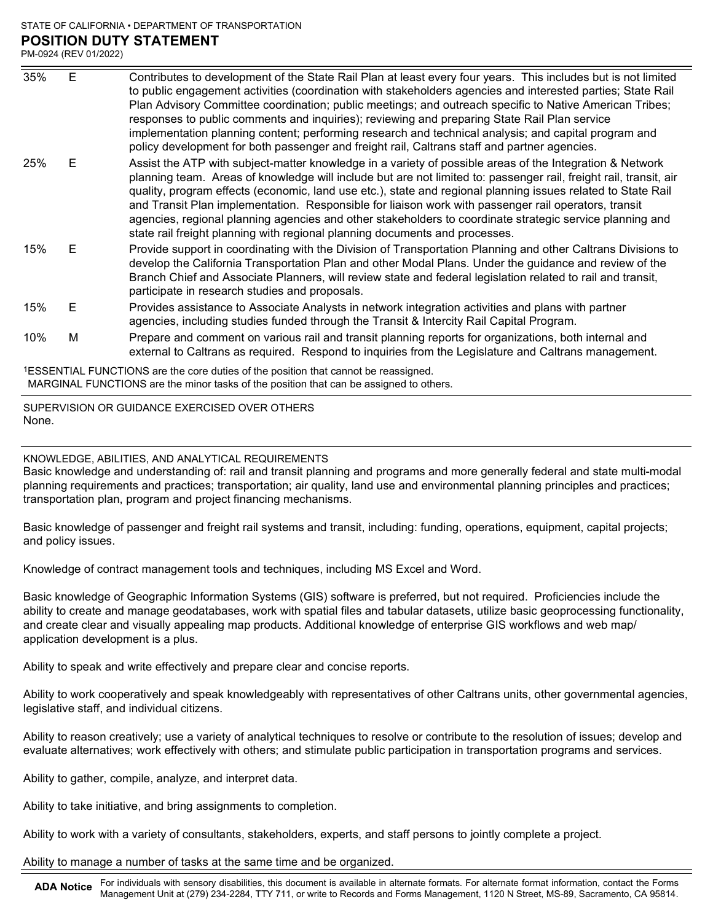### STATE OF CALIFORNIA • DEPARTMENT OF TRANSPORTATION POSITION DUTY STATEMENT PM-0924 (REV 01/2022)

Contributes to development of the State Rail Plan at least every four years. This includes but is not limited to public engagement activities (coordination with stakeholders agencies and interested parties; State Rail Plan Advisory Committee coordination; public meetings; and outreach specific to Native American Tribes; responses to public comments and inquiries); reviewing and preparing State Rail Plan service implementation planning content; performing research and technical analysis; and capital program and policy development for both passenger and freight rail, Caltrans staff and partner agencies. STATE OF CALIFORNIA • DEPARTMENT OF TRANSPORTATION<br>
POSITION DUTY STATEMENT<br>
PM-0924 (REV 01/2022)<br>
35% E Contributes to development of the State Rail Plan at least ever<br>
to public engagement activities (coordination with Assist the ATP with subject-matter knowledge in a variety of possible areas of the Integration & Network planning team. Areas of knowledge will include but are not limited to: passenger rail, freight rail, transit, air quality, program effects (economic, land use etc.), state and regional planning issues related to State Rail and Transit Plan implementation. Responsible for liaison work with passenger rail operators, transit agencies, regional planning agencies and other stakeholders to coordinate strategic service planning and state rail freight planning with regional planning documents and processes. STATE OF CALIFORNIA • DEPARTMENT OF TRANSPORTATION<br>
POSITION DUTY STATEMENT<br>
<sup>2M-0924</sup> (REV 01/2022)<br>
35% E Contributes to development of the State Rail Plan at least ever<br>
to public engagement activities (coordination wit Provide support in coordinating with the Division of Transportation Planning and other Caltrans Divisions to develop the California Transportation Plan and other Modal Plans. Under the guidance and review of the Branch Chief and Associate Planners, will review state and federal legislation related to rail and transit, participate in research studies and proposals. STATE OF CALIFORNIA • DEPARTMENT OF TRANSPORTATION<br>
POSITION DUTY STATEMENT<br>
PM-0924 (REV 01/2022)<br>
35% E Contributes to development of the State Rail Plan at least ever<br>
to public engagement activities (coordination; pub Provides assistance to Associate Analysts in network integration activities and plans with partner agencies, including studies funded through the Transit & Intercity Rail Capital Program. STATE OF CALIFORNIA • DEPARTMENT OF TRANSPORTATION<br>
POSITION DUITY STATEMENT<br>
2016 POSITION DUITY STATEMENT<br>
2016 PHOID Conditions to development of the State Rail Plan at least ever<br>
to public engagement activities (coord **POSITION DUITY STATEMENT**<br>
<sup>2M-0924 (REV 01/2022)<br>
35% E Contributes to development of the State Rail Plan at least ever<br>
to public engagement activities (coordination; public meetings; and o<br>
responses to public comment</sup>

Prepare and comment on various rail and transit planning reports for organizations, both internal and external to Caltrans as required. Respond to inquiries from the Legislature and Caltrans management.

1ESSENTIAL FUNCTIONS are the core duties of the position that cannot be reassigned. MARGINAL FUNCTIONS are the minor tasks of the position that can be assigned to others.

SUPERVISION OR GUIDANCE EXERCISED OVER OTHERS None.

KNOWLEDGE, ABILITIES, AND ANALYTICAL REQUIREMENTS

Basic knowledge and understanding of: rail and transit planning and programs and more generally federal and state multi-modal planning requirements and practices; transportation; air quality, land use and environmental planning principles and practices; transportation plan, program and project financing mechanisms.

Basic knowledge of passenger and freight rail systems and transit, including: funding, operations, equipment, capital projects; and policy issues.

Knowledge of contract management tools and techniques, including MS Excel and Word.

Basic knowledge of Geographic Information Systems (GIS) software is preferred, but not required. Proficiencies include the ability to create and manage geodatabases, work with spatial files and tabular datasets, utilize basic geoprocessing functionality, and create clear and visually appealing map products. Additional knowledge of enterprise GIS workflows and web map/ application development is a plus.

Ability to speak and write effectively and prepare clear and concise reports.

Ability to work cooperatively and speak knowledgeably with representatives of other Caltrans units, other governmental agencies, legislative staff, and individual citizens.

Ability to reason creatively; use a variety of analytical techniques to resolve or contribute to the resolution of issues; develop and evaluate alternatives; work effectively with others; and stimulate public participation in transportation programs and services.

Ability to gather, compile, analyze, and interpret data.

Ability to take initiative, and bring assignments to completion.

Ability to work with a variety of consultants, stakeholders, experts, and staff persons to jointly complete a project.

Ability to manage a number of tasks at the same time and be organized.